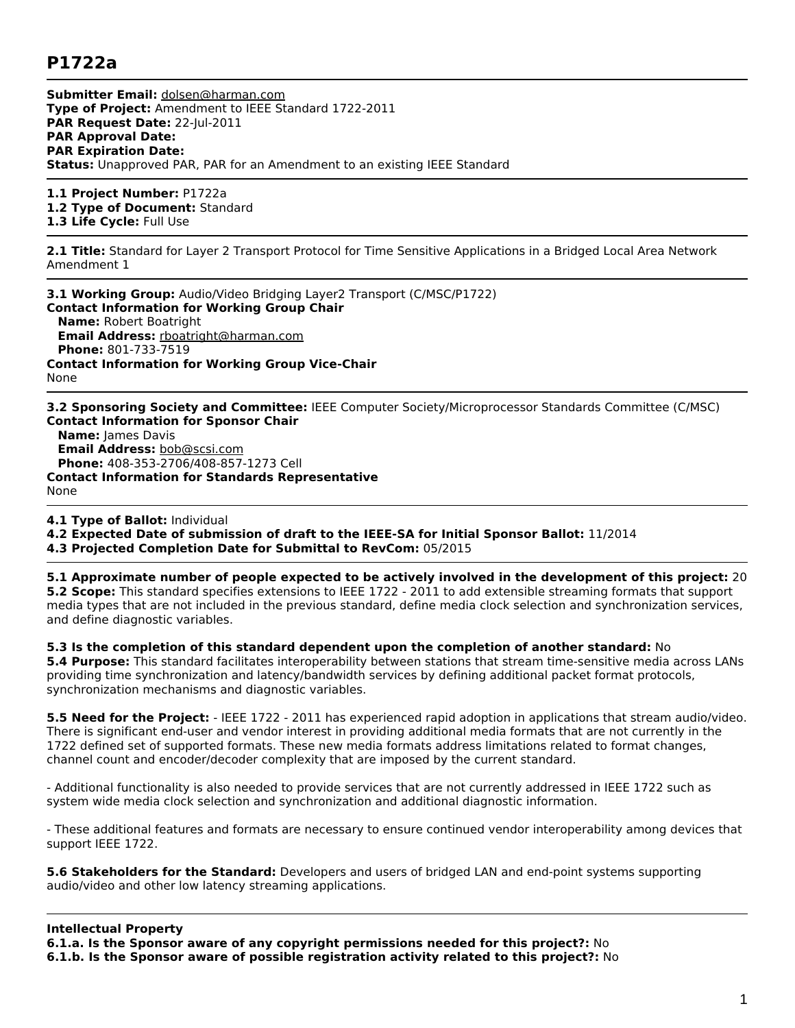## **P1722a**

**Submitter Email:** [dolsen@harman.com](mailto:dolsen%40harman.com) **Type of Project:** Amendment to IEEE Standard 1722-2011 **PAR Request Date:** 22-Jul-2011 **PAR Approval Date: PAR Expiration Date: Status:** Unapproved PAR, PAR for an Amendment to an existing IEEE Standard

**1.1 Project Number:** P1722a

**1.2 Type of Document:** Standard

**1.3 Life Cycle:** Full Use

**2.1 Title:** Standard for Layer 2 Transport Protocol for Time Sensitive Applications in a Bridged Local Area Network Amendment 1

**3.1 Working Group:** Audio/Video Bridging Layer2 Transport (C/MSC/P1722) **Contact Information for Working Group Chair Name:** Robert Boatright **Email Address:** [rboatright@harman.com](mailto:rboatright%40harman.com) **Phone:** 801-733-7519 **Contact Information for Working Group Vice-Chair** None

**3.2 Sponsoring Society and Committee:** IEEE Computer Society/Microprocessor Standards Committee (C/MSC) **Contact Information for Sponsor Chair Name:** James Davis **Email Address:** [bob@scsi.com](mailto:bob%40scsi.com) **Phone:** 408-353-2706/408-857-1273 Cell **Contact Information for Standards Representative** None

**4.1 Type of Ballot:** Individual

**4.2 Expected Date of submission of draft to the IEEE-SA for Initial Sponsor Ballot:** 11/2014

**4.3 Projected Completion Date for Submittal to RevCom:** 05/2015

**5.1 Approximate number of people expected to be actively involved in the development of this project:** 20

**5.2 Scope:** This standard specifies extensions to IEEE 1722 - 2011 to add extensible streaming formats that support media types that are not included in the previous standard, define media clock selection and synchronization services, and define diagnostic variables.

**5.3 Is the completion of this standard dependent upon the completion of another standard:** No

**5.4 Purpose:** This standard facilitates interoperability between stations that stream time-sensitive media across LANs providing time synchronization and latency/bandwidth services by defining additional packet format protocols, synchronization mechanisms and diagnostic variables.

**5.5 Need for the Project:** - IEEE 1722 - 2011 has experienced rapid adoption in applications that stream audio/video. There is significant end-user and vendor interest in providing additional media formats that are not currently in the 1722 defined set of supported formats. These new media formats address limitations related to format changes, channel count and encoder/decoder complexity that are imposed by the current standard.

- Additional functionality is also needed to provide services that are not currently addressed in IEEE 1722 such as system wide media clock selection and synchronization and additional diagnostic information.

- These additional features and formats are necessary to ensure continued vendor interoperability among devices that support IEEE 1722.

**5.6 Stakeholders for the Standard:** Developers and users of bridged LAN and end-point systems supporting audio/video and other low latency streaming applications.

## **Intellectual Property**

**6.1.a. Is the Sponsor aware of any copyright permissions needed for this project?:** No

**6.1.b. Is the Sponsor aware of possible registration activity related to this project?:** No